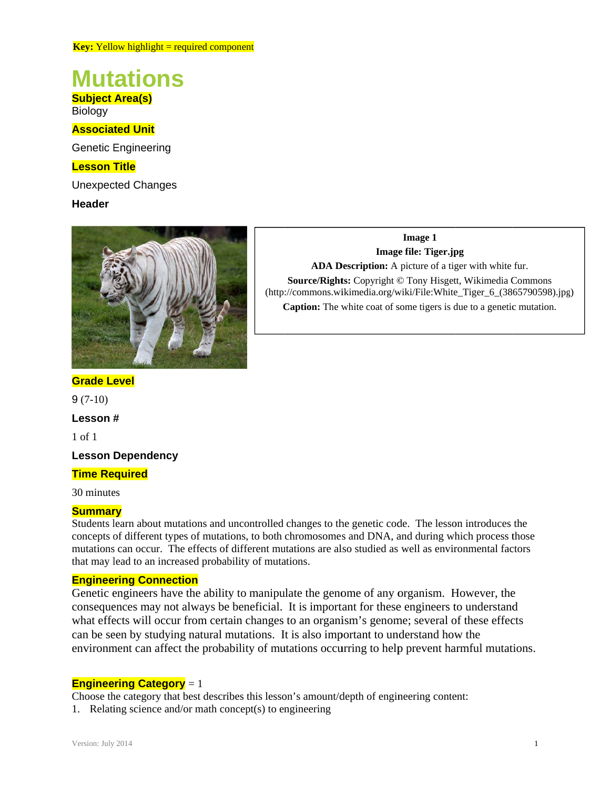# **Mutations**

**Subject Area(s) Biology** 

# **Associated Unit**

**Genetic Engineering** 

# **Lesson Title**

**Unexpected Changes** 

# **Header**



**Image 1** Image file: Tiger.jpg ADA Description: A picture of a tiger with white fur. Source/Rights: Copyright © Tony Hisgett, Wikimedia Commons (http://commons.wikimedia.org/wiki/File:White\_Tiger\_6\_(3865790598).jpg) **Caption:** The white coat of some tigers is due to a genetic mutation.

# **Grade Level**

 $9(7-10)$ 

Lesson#

 $1$  of  $1$ 

**Lesson Dependency** 

## **Time Required**

30 minutes

## **Summary**

Students learn about mutations and uncontrolled changes to the genetic code. The lesson introduces the concepts of different types of mutations, to both chromosomes and DNA, and during which process those mutations can occur. The effects of different mutations are also studied as well as environmental factors that may lead to an increased probability of mutations.

## **Engineering Connection**

Genetic engineers have the ability to manipulate the genome of any organism. However, the consequences may not always be beneficial. It is important for these engineers to understand what effects will occur from certain changes to an organism's genome; several of these effects can be seen by studying natural mutations. It is also important to understand how the environment can affect the probability of mutations occurring to help prevent harmful mutations.

# **Engineering Category** = 1

Choose the category that best describes this lesson's amount/depth of engineering content:

1. Relating science and/or math concept(s) to engineering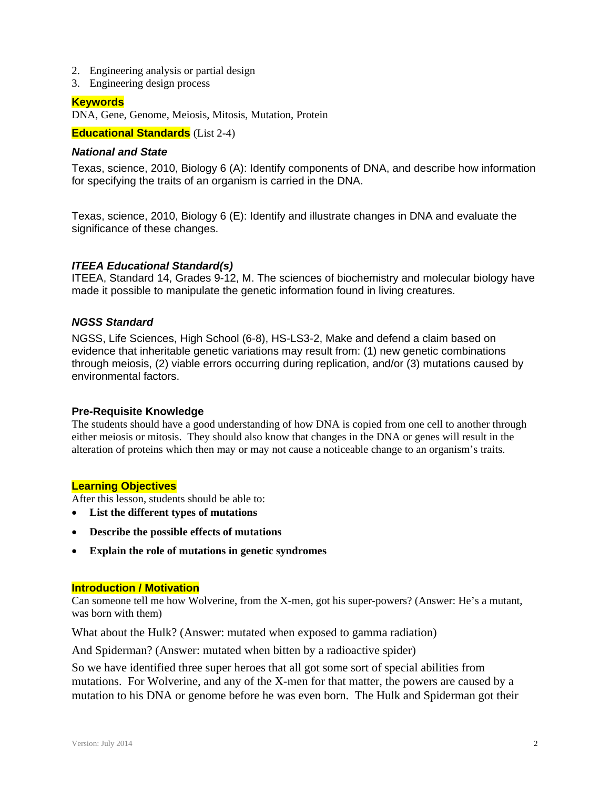- 2. Engineering analysis or partial design
- 3. Engineering design process

#### **Keywords**

DNA, Gene, Genome, Meiosis, Mitosis, Mutation, Protein

**Educational Standards** (List 2-4)

#### *National and State*

Texas, science, 2010, Biology 6 (A): Identify components of DNA, and describe how information for specifying the traits of an organism is carried in the DNA.

Texas, science, 2010, Biology 6 (E): Identify and illustrate changes in DNA and evaluate the significance of these changes.

#### *ITEEA Educational Standard(s)*

ITEEA, Standard 14, Grades 9-12, M. The sciences of biochemistry and molecular biology have made it possible to manipulate the genetic information found in living creatures.

#### *NGSS Standard*

NGSS, Life Sciences, High School (6-8), HS-LS3-2, Make and defend a claim based on evidence that inheritable genetic variations may result from: (1) new genetic combinations through meiosis, (2) viable errors occurring during replication, and/or (3) mutations caused by environmental factors.

#### **Pre-Requisite Knowledge**

The students should have a good understanding of how DNA is copied from one cell to another through either meiosis or mitosis. They should also know that changes in the DNA or genes will result in the alteration of proteins which then may or may not cause a noticeable change to an organism's traits.

#### **Learning Objectives**

After this lesson, students should be able to:

- **List the different types of mutations**
- **Describe the possible effects of mutations**
- **Explain the role of mutations in genetic syndromes**

#### **Introduction / Motivation**

Can someone tell me how Wolverine, from the X-men, got his super-powers? (Answer: He's a mutant, was born with them)

What about the Hulk? (Answer: mutated when exposed to gamma radiation)

And Spiderman? (Answer: mutated when bitten by a radioactive spider)

So we have identified three super heroes that all got some sort of special abilities from mutations. For Wolverine, and any of the X-men for that matter, the powers are caused by a mutation to his DNA or genome before he was even born. The Hulk and Spiderman got their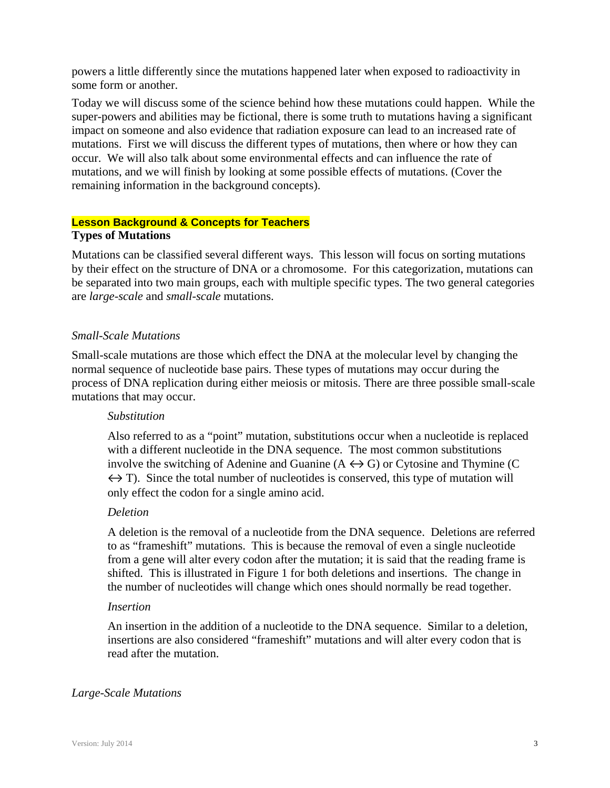powers a little differently since the mutations happened later when exposed to radioactivity in some form or another.

Today we will discuss some of the science behind how these mutations could happen. While the super-powers and abilities may be fictional, there is some truth to mutations having a significant impact on someone and also evidence that radiation exposure can lead to an increased rate of mutations. First we will discuss the different types of mutations, then where or how they can occur. We will also talk about some environmental effects and can influence the rate of mutations, and we will finish by looking at some possible effects of mutations. (Cover the remaining information in the background concepts).

## **Lesson Background & Concepts for Teachers Types of Mutations**

Mutations can be classified several different ways. This lesson will focus on sorting mutations by their effect on the structure of DNA or a chromosome. For this categorization, mutations can be separated into two main groups, each with multiple specific types. The two general categories are *large-scale* and *small-scale* mutations.

# *Small-Scale Mutations*

Small-scale mutations are those which effect the DNA at the molecular level by changing the normal sequence of nucleotide base pairs. These types of mutations may occur during the process of DNA replication during either meiosis or mitosis. There are three possible small-scale mutations that may occur.

# *Substitution*

Also referred to as a "point" mutation, substitutions occur when a nucleotide is replaced with a different nucleotide in the DNA sequence. The most common substitutions involve the switching of Adenine and Guanine  $(A \leftrightarrow G)$  or Cytosine and Thymine (C  $\leftrightarrow$  T). Since the total number of nucleotides is conserved, this type of mutation will only effect the codon for a single amino acid.

# *Deletion*

A deletion is the removal of a nucleotide from the DNA sequence. Deletions are referred to as "frameshift" mutations. This is because the removal of even a single nucleotide from a gene will alter every codon after the mutation; it is said that the reading frame is shifted. This is illustrated in Figure 1 for both deletions and insertions. The change in the number of nucleotides will change which ones should normally be read together.

## *Insertion*

An insertion in the addition of a nucleotide to the DNA sequence. Similar to a deletion, insertions are also considered "frameshift" mutations and will alter every codon that is read after the mutation.

# *Large-Scale Mutations*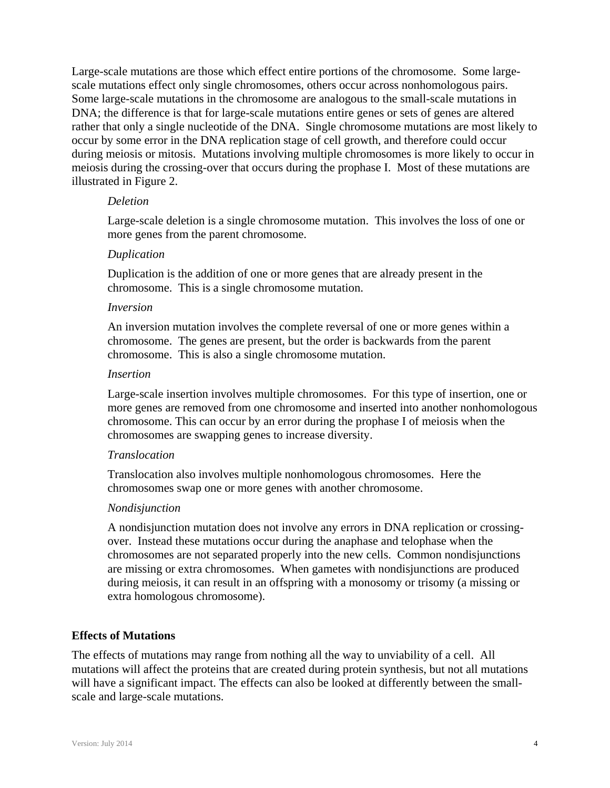Large-scale mutations are those which effect entire portions of the chromosome. Some largescale mutations effect only single chromosomes, others occur across nonhomologous pairs. Some large-scale mutations in the chromosome are analogous to the small-scale mutations in DNA; the difference is that for large-scale mutations entire genes or sets of genes are altered rather that only a single nucleotide of the DNA. Single chromosome mutations are most likely to occur by some error in the DNA replication stage of cell growth, and therefore could occur during meiosis or mitosis. Mutations involving multiple chromosomes is more likely to occur in meiosis during the crossing-over that occurs during the prophase I. Most of these mutations are illustrated in Figure 2.

## *Deletion*

Large-scale deletion is a single chromosome mutation. This involves the loss of one or more genes from the parent chromosome.

# *Duplication*

Duplication is the addition of one or more genes that are already present in the chromosome. This is a single chromosome mutation.

# *Inversion*

An inversion mutation involves the complete reversal of one or more genes within a chromosome. The genes are present, but the order is backwards from the parent chromosome. This is also a single chromosome mutation.

## *Insertion*

Large-scale insertion involves multiple chromosomes. For this type of insertion, one or more genes are removed from one chromosome and inserted into another nonhomologous chromosome. This can occur by an error during the prophase I of meiosis when the chromosomes are swapping genes to increase diversity.

# *Translocation*

Translocation also involves multiple nonhomologous chromosomes. Here the chromosomes swap one or more genes with another chromosome.

## *Nondisjunction*

A nondisjunction mutation does not involve any errors in DNA replication or crossingover. Instead these mutations occur during the anaphase and telophase when the chromosomes are not separated properly into the new cells. Common nondisjunctions are missing or extra chromosomes. When gametes with nondisjunctions are produced during meiosis, it can result in an offspring with a monosomy or trisomy (a missing or extra homologous chromosome).

# **Effects of Mutations**

The effects of mutations may range from nothing all the way to unviability of a cell. All mutations will affect the proteins that are created during protein synthesis, but not all mutations will have a significant impact. The effects can also be looked at differently between the smallscale and large-scale mutations.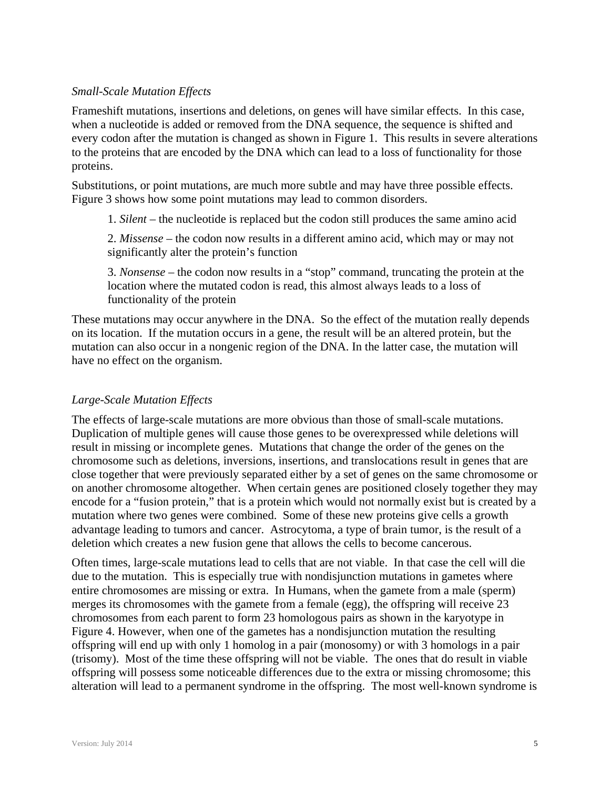# *Small-Scale Mutation Effects*

Frameshift mutations, insertions and deletions, on genes will have similar effects. In this case, when a nucleotide is added or removed from the DNA sequence, the sequence is shifted and every codon after the mutation is changed as shown in Figure 1. This results in severe alterations to the proteins that are encoded by the DNA which can lead to a loss of functionality for those proteins.

Substitutions, or point mutations, are much more subtle and may have three possible effects. Figure 3 shows how some point mutations may lead to common disorders.

1. *Silent* – the nucleotide is replaced but the codon still produces the same amino acid

2. *Missense* – the codon now results in a different amino acid, which may or may not significantly alter the protein's function

3. *Nonsense* – the codon now results in a "stop" command, truncating the protein at the location where the mutated codon is read, this almost always leads to a loss of functionality of the protein

These mutations may occur anywhere in the DNA. So the effect of the mutation really depends on its location. If the mutation occurs in a gene, the result will be an altered protein, but the mutation can also occur in a nongenic region of the DNA. In the latter case, the mutation will have no effect on the organism.

# *Large-Scale Mutation Effects*

The effects of large-scale mutations are more obvious than those of small-scale mutations. Duplication of multiple genes will cause those genes to be overexpressed while deletions will result in missing or incomplete genes. Mutations that change the order of the genes on the chromosome such as deletions, inversions, insertions, and translocations result in genes that are close together that were previously separated either by a set of genes on the same chromosome or on another chromosome altogether. When certain genes are positioned closely together they may encode for a "fusion protein," that is a protein which would not normally exist but is created by a mutation where two genes were combined. Some of these new proteins give cells a growth advantage leading to tumors and cancer. Astrocytoma, a type of brain tumor, is the result of a deletion which creates a new fusion gene that allows the cells to become cancerous.

Often times, large-scale mutations lead to cells that are not viable. In that case the cell will die due to the mutation. This is especially true with nondisjunction mutations in gametes where entire chromosomes are missing or extra. In Humans, when the gamete from a male (sperm) merges its chromosomes with the gamete from a female (egg), the offspring will receive 23 chromosomes from each parent to form 23 homologous pairs as shown in the karyotype in Figure 4. However, when one of the gametes has a nondisjunction mutation the resulting offspring will end up with only 1 homolog in a pair (monosomy) or with 3 homologs in a pair (trisomy). Most of the time these offspring will not be viable. The ones that do result in viable offspring will possess some noticeable differences due to the extra or missing chromosome; this alteration will lead to a permanent syndrome in the offspring. The most well-known syndrome is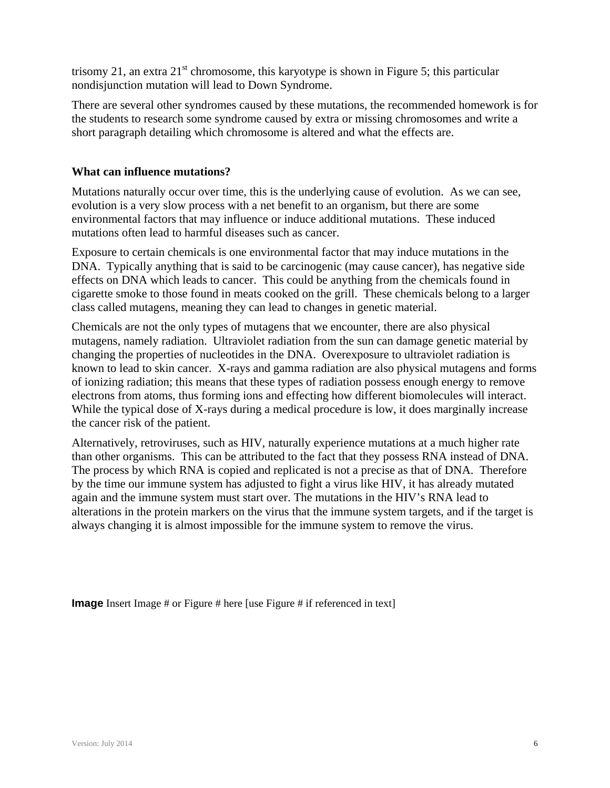trisomy 21, an extra  $21^{\text{st}}$  chromosome, this karyotype is shown in Figure 5; this particular nondisjunction mutation will lead to Down Syndrome.

There are several other syndromes caused by these mutations, the recommended homework is for the students to research some syndrome caused by extra or missing chromosomes and write a short paragraph detailing which chromosome is altered and what the effects are.

# **What can influence mutations?**

Mutations naturally occur over time, this is the underlying cause of evolution. As we can see, evolution is a very slow process with a net benefit to an organism, but there are some environmental factors that may influence or induce additional mutations. These induced mutations often lead to harmful diseases such as cancer.

Exposure to certain chemicals is one environmental factor that may induce mutations in the DNA. Typically anything that is said to be carcinogenic (may cause cancer), has negative side effects on DNA which leads to cancer. This could be anything from the chemicals found in cigarette smoke to those found in meats cooked on the grill. These chemicals belong to a larger class called mutagens, meaning they can lead to changes in genetic material.

Chemicals are not the only types of mutagens that we encounter, there are also physical mutagens, namely radiation. Ultraviolet radiation from the sun can damage genetic material by changing the properties of nucleotides in the DNA. Overexposure to ultraviolet radiation is known to lead to skin cancer. X-rays and gamma radiation are also physical mutagens and forms of ionizing radiation; this means that these types of radiation possess enough energy to remove electrons from atoms, thus forming ions and effecting how different biomolecules will interact. While the typical dose of X-rays during a medical procedure is low, it does marginally increase the cancer risk of the patient.

Alternatively, retroviruses, such as HIV, naturally experience mutations at a much higher rate than other organisms. This can be attributed to the fact that they possess RNA instead of DNA. The process by which RNA is copied and replicated is not a precise as that of DNA. Therefore by the time our immune system has adjusted to fight a virus like HIV, it has already mutated again and the immune system must start over. The mutations in the HIV's RNA lead to alterations in the protein markers on the virus that the immune system targets, and if the target is always changing it is almost impossible for the immune system to remove the virus.

**Image** Insert Image # or Figure # here [use Figure # if referenced in text]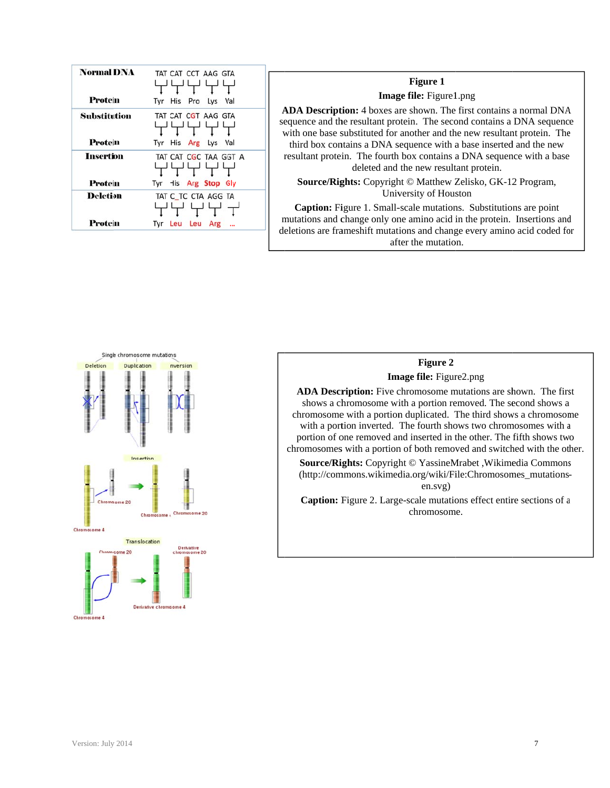| <b>Normal DNA</b> | TAT CAT CCT AAG GTA    |
|-------------------|------------------------|
| Protein           | Tyr His Pro Lys Val    |
| Substitution      | TAT CAT CGT AAG GTA    |
| Protein           | Tyr His Arg Lys<br>Val |
| Insertion         | TAT CAT CGC TAA GGT A  |
| Protein           | Tyr His Arg Stop Gly   |
| <b>Deletion</b>   | TAT C_TC_CTA_AGG_TA    |
| Protein           | Leu Leu Arg<br>Tvr     |

## **Image file:** Figure1.png **Figure 1**

ADA Description: 4 boxes are shown. The first contains a normal DNA sequence and the resultant protein. The second contains a DNA sequence with one base substituted for another and the new resultant protein. The resultant protein. The fourth box contains a DNA sequence with a base third box contains a DNA sequence with a base inserted and the new deleted and the new resultant protein. e<br>e<br>d

Source/Rights: Copyright © Matthew Zelisko, GK-12 Program, University of Houston

mutations and change only one amino acid in the protein. Insertions and deletions are frameshift mutations and change every amino acid coded for Caption: Figure 1. Small-scale mutations. Substitutions are point after the mutation.



# **Figure 2**

**Image file:** Figure2.png

ADA Description: Five chromosome mutations are shown. The first shows a chromosome with a portion removed. The second shows a chromosome with a portion duplicated. The third shows a chromosome with a portion inverted. The fourth shows two chromosomes with a portion of one removed and inserted in the other. The fifth shows two chromosomes with a portion of both removed and switched with the other.

Source/Rights: Copyright © YassineMrabet, Wikimedia Commons (http://commons.wikimedia.org/wiki/File:Chromosomes\_mutationsen.svg)

Caption: Figure 2. Large-scale mutations effect entire sections of a chromosom me.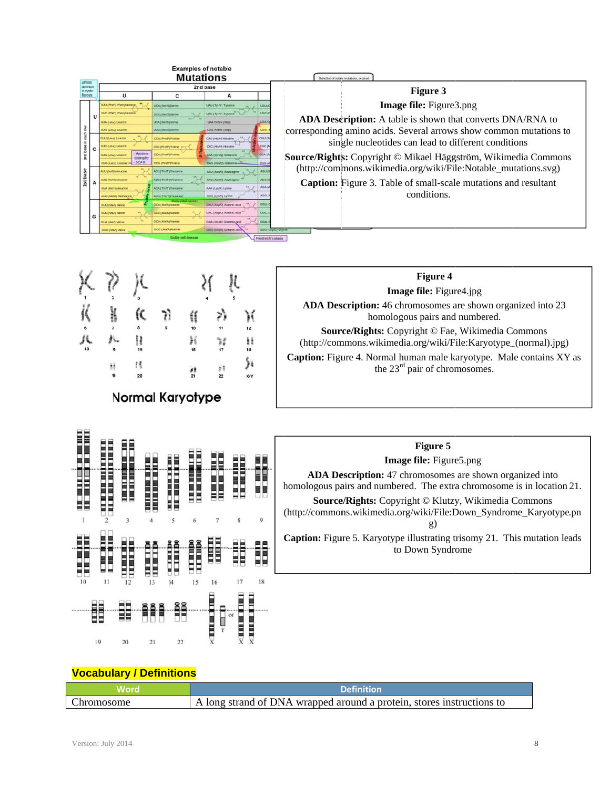|                                |   |                                                     | <b>Examples of notabe</b><br><b>Mutations</b>   |                                |                     | Selection of natage mutations, ordered                                 |
|--------------------------------|---|-----------------------------------------------------|-------------------------------------------------|--------------------------------|---------------------|------------------------------------------------------------------------|
| AFS08<br>in cystic<br>fibrosis |   |                                                     |                                                 | 2nd base                       |                     | Figure 3                                                               |
|                                |   |                                                     | с                                               | А                              |                     |                                                                        |
|                                |   | <b>JULI (Pherit) Phenylolarship</b>                 | UCU (Sen/S) Serine                              | LMU (Tyr/Y) Tyosin             | <b>LIGILI (</b>     | <b>Image file:</b> Figure3.png                                         |
|                                | U | <b>JUC (PhoF) Phonylisianine</b>                    | <b>JCC (Serits Sering</b>                       | <b>AC (Tyr/Y) Tyosine</b>      | <b>UGC (I)</b>      |                                                                        |
|                                |   | <b>AIA (Leut) Leucine</b>                           | UCA (Tieriti) Serine                            | <b>LIAA Ochre (Tite)</b>       | <b>LICLA C</b>      | ADA Description: A table is shown that converts DNA/RNA to             |
|                                |   | UUS (Leuc) Leucine                                  | UCG (Ser/S) Serine                              | <b>LIACI Ander (Ster)</b>      |                     | corresponding amino acids. Several arrows show common mutations to     |
|                                |   | <b>CUU (Leut) Leucine</b>                           | COU (Pristry Proting)                           | CAU (Hinhi) Histárie           | CGU (A              |                                                                        |
|                                | c | <b>CAC (LmA) Linucine</b>                           | <b>CC (Proff) Autore</b>                        | CAC (HELM) History             | COC (A              | single nucleotides can lead to different conditions                    |
| 'n                             |   | Myotonic<br><b>CUA (Leut.) Leucine</b><br>dystrophy | CCA (Proff) Protine                             | CAA (GINO) Gitamine            | COA (A              | Source/Rights: Copyright © Mikael Häggström, Wikimedia Commons         |
|                                |   | $-SCAB$<br><b>CLKS (Levil) Leurane --</b>           | CCG (Proff) Protine                             | CAS (Ginro) Glewane            | $\cos u$            |                                                                        |
|                                |   | AUU (Bell) highwayer                                | ACU (Thirt) threatene                           | AAU (Asrah) Assemption         | <b>AGUI</b>         | (http://commons.wikimedia.org/wiki/File:Notable_mutations.svg)         |
| 1st base                       |   | <b>ALIC (Tell Isoleucine</b>                        | ACC (THIT) Threatene                            | <b>AAC (Annihi) Acon agree</b> | <b>AGC ()</b>       | <b>Caption:</b> Figure 3. Table of small-scale mutations and resultant |
|                                |   | <b>ALLA FRAUD BUSIN ALLA</b>                        | ACA (Tre/T) Trenorere                           | <b>AAA</b> (Lys/K) Lytrer      | <b>AGAL</b>         |                                                                        |
|                                |   | AUG (MeM) Methodine                                 | <b>ACID (The/T) Elements</b>                    | AAG (Lys/K) Lyine              | AGG (               | conditions.                                                            |
|                                |   | GUU (VM/) Valine                                    | Concreted cancer<br><b>GCU (AlayA) Alankret</b> | GAU (Asp/D) Assertic acid      |                     |                                                                        |
|                                | G | <b>SUC (VM/V) Valine</b>                            | <b>GCC (AINA) Ainning</b>                       | GAC (Anp/O) Aton/8c acid       | 0001                |                                                                        |
|                                |   | <b>OLIA (VM/Y) Valinet</b>                          | <b>DCA (AINA) Ainning</b>                       | GAA (Glufi) Gitarric acid      | GOAL                |                                                                        |
|                                |   | GUG (WW) Milne                                      | GCG (Ain/A) Alarsme                             | GAG (GIVE) GRANIC AO           |                     | dog (allig) alla                                                       |
|                                |   |                                                     | Sidde-cell disease                              |                                | Priedreich's ataxia |                                                                        |

|                         | Ħ<br>19 | 20 |  | 10<br>16<br>Ä | 11 | 12<br>計<br>18<br>X/Y | <b>Figure 4</b><br><b>Image file:</b> Figure4.jpg<br><b>ADA Description:</b> 46 chromosomes are shown organized into 23<br>homologous pairs and numbered.<br>Source/Rights: Copyright © Fae, Wikimedia Commons<br>(http://commons.wikimedia.org/wiki/File:Karyotype_(normal).jpg)<br>Caption: Figure 4. Normal human male karyotype. Male contains XY as<br>the $23rd$ pair of chromosomes. |
|-------------------------|---------|----|--|---------------|----|----------------------|---------------------------------------------------------------------------------------------------------------------------------------------------------------------------------------------------------------------------------------------------------------------------------------------------------------------------------------------------------------------------------------------|
| <b>Normal Karyotype</b> |         |    |  |               |    |                      |                                                                                                                                                                                                                                                                                                                                                                                             |



# Figure 5 Image file: Figure5.png

ADA Description: 47 chromosomes are shown organized into homologous pairs and numbered. The extra chromosome is in location 21. Source/Rights: Copyright © Klutzy, Wikimedia Commons (http://commons.wikimedia.org/wiki/File:Down\_Syndrome\_Karyotype.pn

 $g)$ 

**Caption:** Figure 5. Karyotype illustrating trisomy 21. This mutation leads to Down Syndrome

## **Vocabulary / Definitions**

|                   | <b>Definition</b>                                                     |
|-------------------|-----------------------------------------------------------------------|
| <b>Chromosome</b> | A long strand of DNA wrapped around a protein, stores instructions to |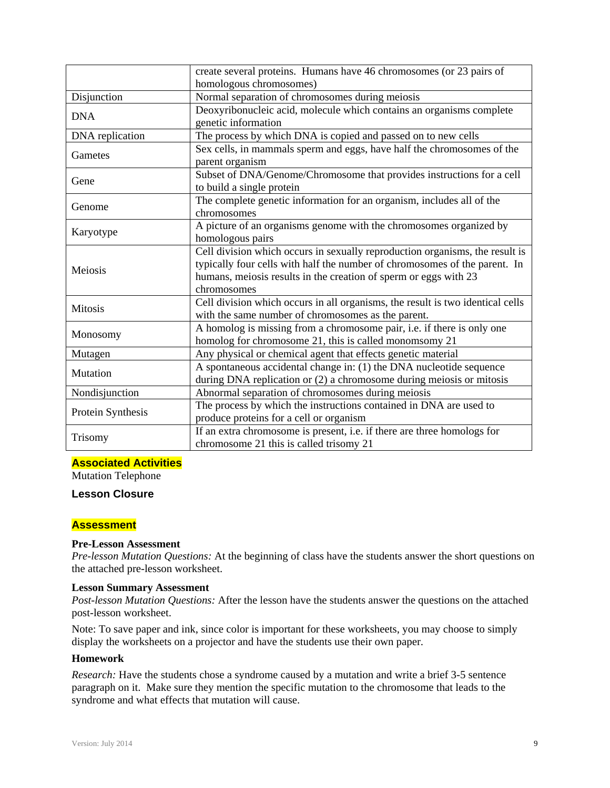|                   | create several proteins. Humans have 46 chromosomes (or 23 pairs of                                                                                                                                                                           |
|-------------------|-----------------------------------------------------------------------------------------------------------------------------------------------------------------------------------------------------------------------------------------------|
|                   | homologous chromosomes)                                                                                                                                                                                                                       |
| Disjunction       | Normal separation of chromosomes during meiosis                                                                                                                                                                                               |
| <b>DNA</b>        | Deoxyribonucleic acid, molecule which contains an organisms complete<br>genetic information                                                                                                                                                   |
| DNA replication   | The process by which DNA is copied and passed on to new cells                                                                                                                                                                                 |
| Gametes           | Sex cells, in mammals sperm and eggs, have half the chromosomes of the<br>parent organism                                                                                                                                                     |
| Gene              | Subset of DNA/Genome/Chromosome that provides instructions for a cell<br>to build a single protein                                                                                                                                            |
| Genome            | The complete genetic information for an organism, includes all of the<br>chromosomes                                                                                                                                                          |
| Karyotype         | A picture of an organisms genome with the chromosomes organized by<br>homologous pairs                                                                                                                                                        |
| Meiosis           | Cell division which occurs in sexually reproduction organisms, the result is<br>typically four cells with half the number of chromosomes of the parent. In<br>humans, meiosis results in the creation of sperm or eggs with 23<br>chromosomes |
| <b>Mitosis</b>    | Cell division which occurs in all organisms, the result is two identical cells<br>with the same number of chromosomes as the parent.                                                                                                          |
| Monosomy          | A homolog is missing from a chromosome pair, i.e. if there is only one<br>homolog for chromosome 21, this is called monomsomy 21                                                                                                              |
| Mutagen           | Any physical or chemical agent that effects genetic material                                                                                                                                                                                  |
| Mutation          | A spontaneous accidental change in: (1) the DNA nucleotide sequence<br>during DNA replication or (2) a chromosome during meiosis or mitosis                                                                                                   |
| Nondisjunction    | Abnormal separation of chromosomes during meiosis                                                                                                                                                                                             |
| Protein Synthesis | The process by which the instructions contained in DNA are used to<br>produce proteins for a cell or organism                                                                                                                                 |
| Trisomy           | If an extra chromosome is present, i.e. if there are three homologs for<br>chromosome 21 this is called trisomy 21                                                                                                                            |

## **Associated Activities**

Mutation Telephone

## **Lesson Closure**

## **Assessment**

#### **Pre-Lesson Assessment**

*Pre-lesson Mutation Questions:* At the beginning of class have the students answer the short questions on the attached pre-lesson worksheet.

#### **Lesson Summary Assessment**

*Post-lesson Mutation Questions:* After the lesson have the students answer the questions on the attached post-lesson worksheet.

Note: To save paper and ink, since color is important for these worksheets, you may choose to simply display the worksheets on a projector and have the students use their own paper.

# **Homework**

*Research:* Have the students chose a syndrome caused by a mutation and write a brief 3-5 sentence paragraph on it. Make sure they mention the specific mutation to the chromosome that leads to the syndrome and what effects that mutation will cause.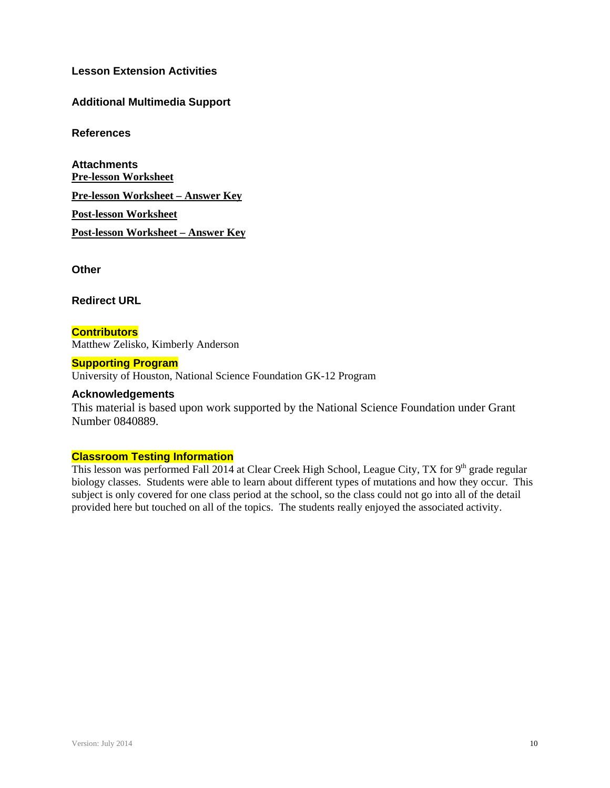**Lesson Extension Activities**

# **Additional Multimedia Support**

**References** 

**Attachments Pre-lesson Worksheet Pre-lesson Worksheet – Answer Key Post-lesson Worksheet Post-lesson Worksheet – Answer Key** 

**Other** 

**Redirect URL** 

**Contributors** Matthew Zelisko, Kimberly Anderson

## **Supporting Program**

University of Houston, National Science Foundation GK-12 Program

## **Acknowledgements**

This material is based upon work supported by the National Science Foundation under Grant Number 0840889.

#### **Classroom Testing Information**

This lesson was performed Fall 2014 at Clear Creek High School, League City, TX for 9<sup>th</sup> grade regular biology classes. Students were able to learn about different types of mutations and how they occur. This subject is only covered for one class period at the school, so the class could not go into all of the detail provided here but touched on all of the topics. The students really enjoyed the associated activity.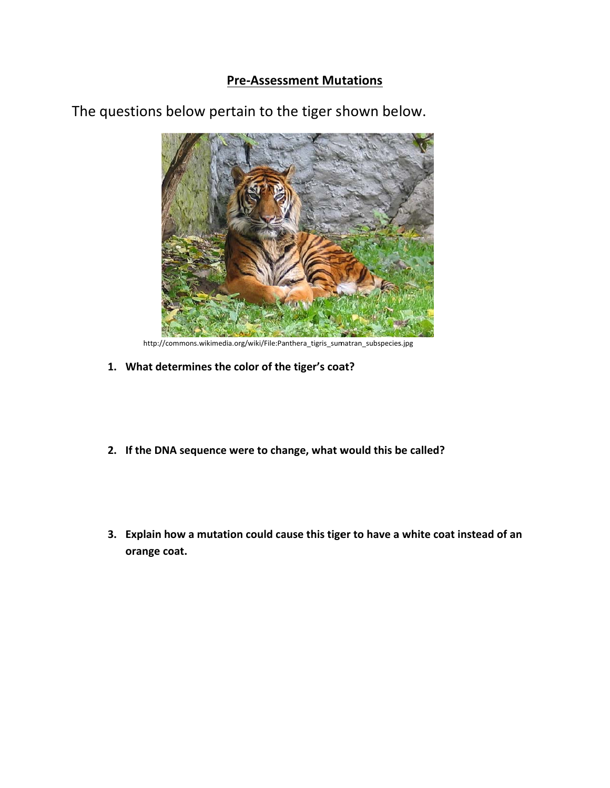# **Pre-Assessment Mutations**



The questions below pertain to the tiger shown below.

http://commons.wikimedia.org/wiki/File:Panthera\_tigris\_sumatran\_subspecies.jpg

- 1. What determines the color of the tiger's coat?
- 2. If the DNA sequence were to change, what would this be called?
- 3. Explain how a mutation could cause this tiger to have a white coat instead of an orange coat.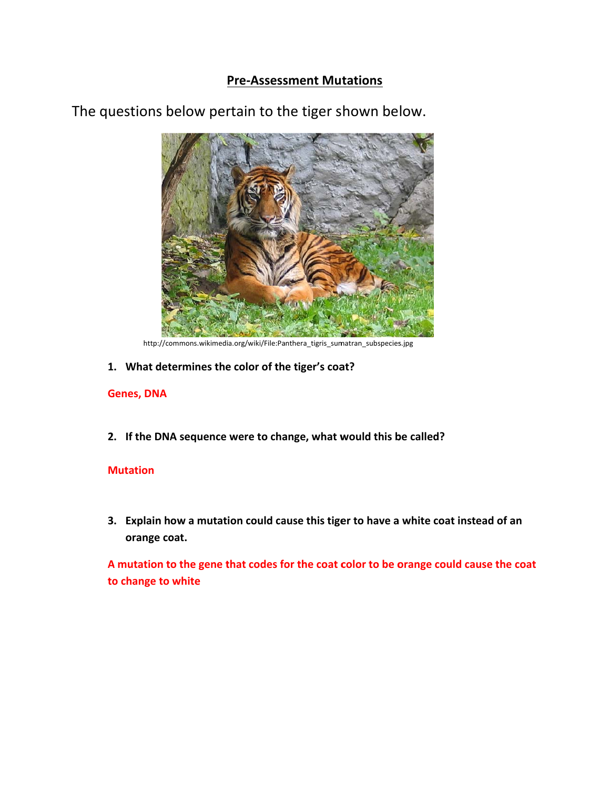# **Pre-Assessment Mutations**



The questions below pertain to the tiger shown below.

http://commons.wikimedia.org/wiki/File:Panthera\_tigris\_sumatran\_subspecies.jpg

1. What determines the color of the tiger's coat?

## **Genes, DNA**

2. If the DNA sequence were to change, what would this be called?

# **Mutation**

3. Explain how a mutation could cause this tiger to have a white coat instead of an orange coat.

A mutation to the gene that codes for the coat color to be orange could cause the coat to change to white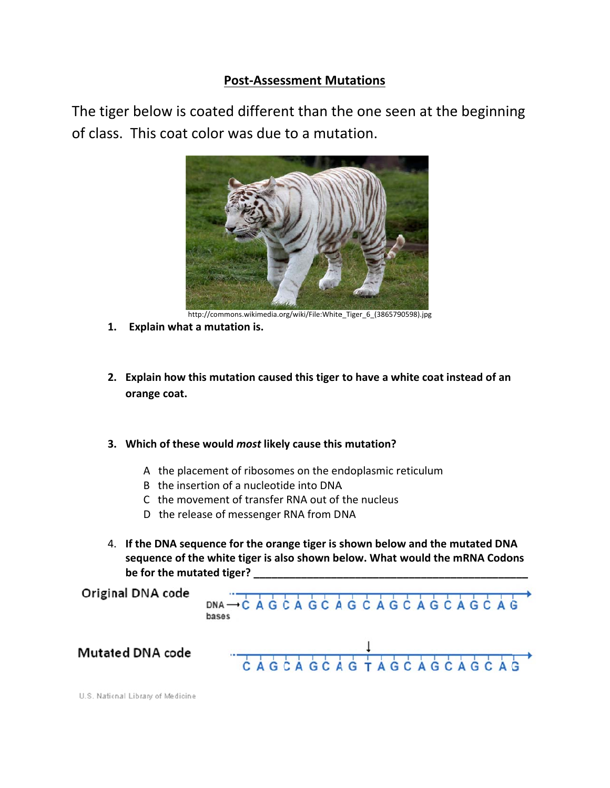# **Post-Assessment Mutations**

The tiger below is coated different than the one seen at the beginning of class. This coat color was due to a mutation.



http://commons.wikimedia.org/wiki/File:White\_Tiger\_6\_(3865790598).jpg

- 1. Explain what a mutation is.
- 2. Explain how this mutation caused this tiger to have a white coat instead of an orange coat.
- 3. Which of these would most likely cause this mutation?
	- A the placement of ribosomes on the endoplasmic reticulum
	- B the insertion of a nucleotide into DNA
	- C the movement of transfer RNA out of the nucleus
	- D the release of messenger RNA from DNA
- 4. If the DNA sequence for the orange tiger is shown below and the mutated DNA sequence of the white tiger is also shown below. What would the mRNA Codons be for the mutated tiger?

Original DNA code

DNA - CAGCAGCAGCAGCAGCAGCAG bases 

**Mutated DNA code** 

U.S. National Library of Medicine